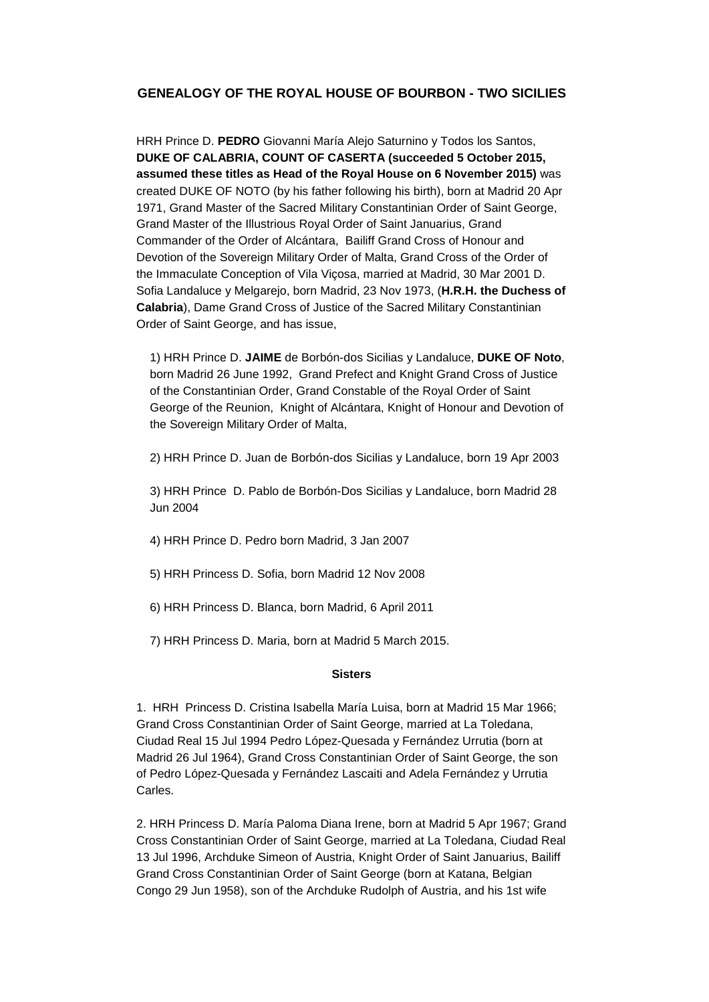# **GENEALOGY OF THE ROYAL HOUSE OF BOURBON - TWO SICILIES**

HRH Prince D. **PEDRO** Giovanni María Alejo Saturnino y Todos los Santos, **DUKE OF CALABRIA, COUNT OF CASERTA (succeeded 5 October 2015, assumed these titles as Head of the Royal House on 6 November 2015)** was created DUKE OF NOTO (by his father following his birth), born at Madrid 20 Apr 1971, Grand Master of the Sacred Military Constantinian Order of Saint George, Grand Master of the Illustrious Royal Order of Saint Januarius, Grand Commander of the Order of Alcántara, Bailiff Grand Cross of Honour and Devotion of the Sovereign Military Order of Malta, Grand Cross of the Order of the Immaculate Conception of Vila Viçosa, married at Madrid, 30 Mar 2001 D. Sofia Landaluce y Melgarejo, born Madrid, 23 Nov 1973, (**H.R.H. the Duchess of Calabria**), Dame Grand Cross of Justice of the Sacred Military Constantinian Order of Saint George, and has issue,

1) HRH Prince D. **JAIME** de Borbón-dos Sicilias y Landaluce, **DUKE OF Noto**, born Madrid 26 June 1992, Grand Prefect and Knight Grand Cross of Justice of the Constantinian Order, Grand Constable of the Royal Order of Saint George of the Reunion, Knight of Alcántara, Knight of Honour and Devotion of the Sovereign Military Order of Malta,

2) HRH Prince D. Juan de Borbón-dos Sicilias y Landaluce, born 19 Apr 2003

3) HRH Prince D. Pablo de Borbón-Dos Sicilias y Landaluce, born Madrid 28 Jun 2004

4) HRH Prince D. Pedro born Madrid, 3 Jan 2007

5) HRH Princess D. Sofia, born Madrid 12 Nov 2008

- 6) HRH Princess D. Blanca, born Madrid, 6 April 2011
- 7) HRH Princess D. Maria, born at Madrid 5 March 2015.

#### **Sisters**

1. HRH Princess D. Cristina Isabella María Luisa, born at Madrid 15 Mar 1966; Grand Cross Constantinian Order of Saint George, married at La Toledana, Ciudad Real 15 Jul 1994 Pedro López-Quesada y Fernández Urrutia (born at Madrid 26 Jul 1964), Grand Cross Constantinian Order of Saint George, the son of Pedro López-Quesada y Fernández Lascaiti and Adela Fernández y Urrutia Carles.

2. HRH Princess D. María Paloma Diana Irene, born at Madrid 5 Apr 1967; Grand Cross Constantinian Order of Saint George, married at La Toledana, Ciudad Real 13 Jul 1996, Archduke Simeon of Austria, Knight Order of Saint Januarius, Bailiff Grand Cross Constantinian Order of Saint George (born at Katana, Belgian Congo 29 Jun 1958), son of the Archduke Rudolph of Austria, and his 1st wife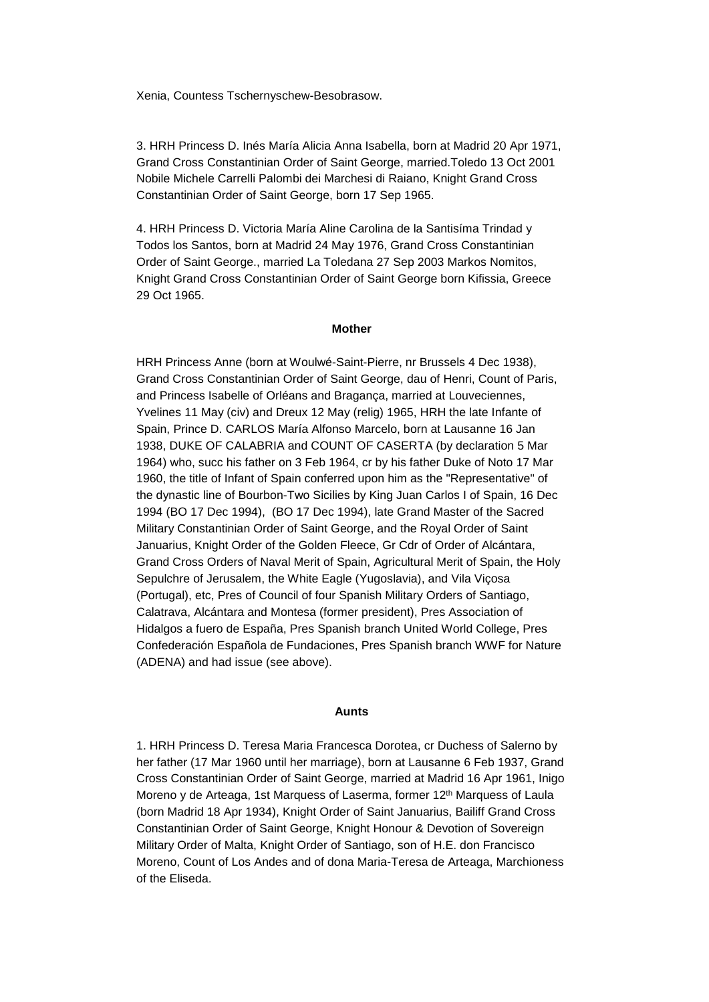Xenia, Countess Tschernyschew-Besobrasow.

3. HRH Princess D. Inés María Alicia Anna Isabella, born at Madrid 20 Apr 1971, Grand Cross Constantinian Order of Saint George, married.Toledo 13 Oct 2001 Nobile Michele Carrelli Palombi dei Marchesi di Raiano, Knight Grand Cross Constantinian Order of Saint George, born 17 Sep 1965.

4. HRH Princess D. Victoria María Aline Carolina de la Santisíma Trindad y Todos los Santos, born at Madrid 24 May 1976, Grand Cross Constantinian Order of Saint George., married La Toledana 27 Sep 2003 Markos Nomitos, Knight Grand Cross Constantinian Order of Saint George born Kifissia, Greece 29 Oct 1965.

### **Mother**

HRH Princess Anne (born at Woulwé-Saint-Pierre, nr Brussels 4 Dec 1938), Grand Cross Constantinian Order of Saint George, dau of Henri, Count of Paris, and Princess Isabelle of Orléans and Bragança, married at Louveciennes, Yvelines 11 May (civ) and Dreux 12 May (relig) 1965, HRH the late Infante of Spain, Prince D. CARLOS María Alfonso Marcelo, born at Lausanne 16 Jan 1938, DUKE OF CALABRIA and COUNT OF CASERTA (by declaration 5 Mar 1964) who, succ his father on 3 Feb 1964, cr by his father Duke of Noto 17 Mar 1960, the title of Infant of Spain conferred upon him as the "Representative" of the dynastic line of Bourbon-Two Sicilies by King Juan Carlos I of Spain, 16 Dec 1994 (BO 17 Dec 1994), (BO 17 Dec 1994), late Grand Master of the Sacred Military Constantinian Order of Saint George, and the Royal Order of Saint Januarius, Knight Order of the Golden Fleece, Gr Cdr of Order of Alcántara, Grand Cross Orders of Naval Merit of Spain, Agricultural Merit of Spain, the Holy Sepulchre of Jerusalem, the White Eagle (Yugoslavia), and Vila Viçosa (Portugal), etc, Pres of Council of four Spanish Military Orders of Santiago, Calatrava, Alcántara and Montesa (former president), Pres Association of Hidalgos a fuero de España, Pres Spanish branch United World College, Pres Confederación Española de Fundaciones, Pres Spanish branch WWF for Nature (ADENA) and had issue (see above).

#### **Aunts**

1. HRH Princess D. Teresa Maria Francesca Dorotea, cr Duchess of Salerno by her father (17 Mar 1960 until her marriage), born at Lausanne 6 Feb 1937, Grand Cross Constantinian Order of Saint George, married at Madrid 16 Apr 1961, Inigo Moreno y de Arteaga, 1st Marquess of Laserma, former 12<sup>th</sup> Marquess of Laula (born Madrid 18 Apr 1934), Knight Order of Saint Januarius, Bailiff Grand Cross Constantinian Order of Saint George, Knight Honour & Devotion of Sovereign Military Order of Malta, Knight Order of Santiago, son of H.E. don Francisco Moreno, Count of Los Andes and of dona Maria-Teresa de Arteaga, Marchioness of the Eliseda.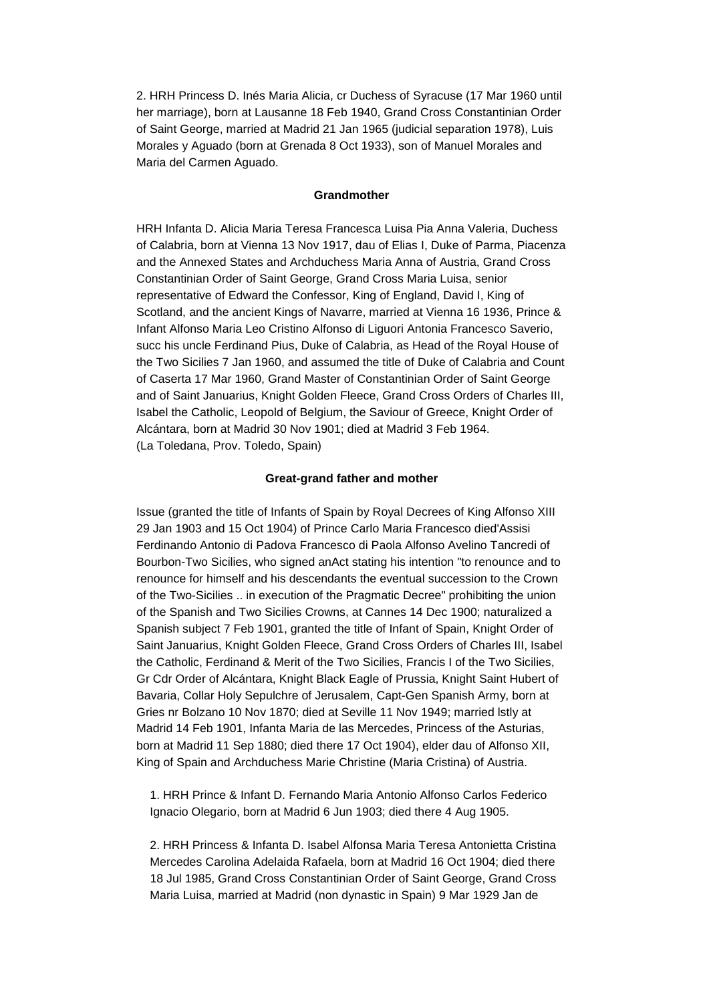2. HRH Princess D. Inés Maria Alicia, cr Duchess of Syracuse (17 Mar 1960 until her marriage), born at Lausanne 18 Feb 1940, Grand Cross Constantinian Order of Saint George, married at Madrid 21 Jan 1965 (judicial separation 1978), Luis Morales y Aguado (born at Grenada 8 Oct 1933), son of Manuel Morales and Maria del Carmen Aguado.

### **Grandmother**

HRH Infanta D. Alicia Maria Teresa Francesca Luisa Pia Anna Valeria, Duchess of Calabria, born at Vienna 13 Nov 1917, dau of Elias I, Duke of Parma, Piacenza and the Annexed States and Archduchess Maria Anna of Austria, Grand Cross Constantinian Order of Saint George, Grand Cross Maria Luisa, senior representative of Edward the Confessor, King of England, David I, King of Scotland, and the ancient Kings of Navarre, married at Vienna 16 1936, Prince & Infant Alfonso Maria Leo Cristino Alfonso di Liguori Antonia Francesco Saverio, succ his uncle Ferdinand Pius, Duke of Calabria, as Head of the Royal House of the Two Sicilies 7 Jan 1960, and assumed the title of Duke of Calabria and Count of Caserta 17 Mar 1960, Grand Master of Constantinian Order of Saint George and of Saint Januarius, Knight Golden Fleece, Grand Cross Orders of Charles III, Isabel the Catholic, Leopold of Belgium, the Saviour of Greece, Knight Order of Alcántara, born at Madrid 30 Nov 1901; died at Madrid 3 Feb 1964. (La Toledana, Prov. Toledo, Spain)

## **Great-grand father and mother**

Issue (granted the title of Infants of Spain by Royal Decrees of King Alfonso XIII 29 Jan 1903 and 15 Oct 1904) of Prince Carlo Maria Francesco died'Assisi Ferdinando Antonio di Padova Francesco di Paola Alfonso Avelino Tancredi of Bourbon-Two Sicilies, who signed anAct stating his intention "to renounce and to renounce for himself and his descendants the eventual succession to the Crown of the Two-Sicilies .. in execution of the Pragmatic Decree" prohibiting the union of the Spanish and Two Sicilies Crowns, at Cannes 14 Dec 1900; naturalized a Spanish subject 7 Feb 1901, granted the title of Infant of Spain, Knight Order of Saint Januarius, Knight Golden Fleece, Grand Cross Orders of Charles III, Isabel the Catholic, Ferdinand & Merit of the Two Sicilies, Francis I of the Two Sicilies, Gr Cdr Order of Alcántara, Knight Black Eagle of Prussia, Knight Saint Hubert of Bavaria, Collar Holy Sepulchre of Jerusalem, Capt-Gen Spanish Army, born at Gries nr Bolzano 10 Nov 1870; died at Seville 11 Nov 1949; married lstly at Madrid 14 Feb 1901, Infanta Maria de las Mercedes, Princess of the Asturias, born at Madrid 11 Sep 1880; died there 17 Oct 1904), elder dau of Alfonso XII, King of Spain and Archduchess Marie Christine (Maria Cristina) of Austria.

1. HRH Prince & Infant D. Fernando Maria Antonio Alfonso Carlos Federico Ignacio Olegario, born at Madrid 6 Jun 1903; died there 4 Aug 1905.

2. HRH Princess & Infanta D. Isabel Alfonsa Maria Teresa Antonietta Cristina Mercedes Carolina Adelaida Rafaela, born at Madrid 16 Oct 1904; died there 18 Jul 1985, Grand Cross Constantinian Order of Saint George, Grand Cross Maria Luisa, married at Madrid (non dynastic in Spain) 9 Mar 1929 Jan de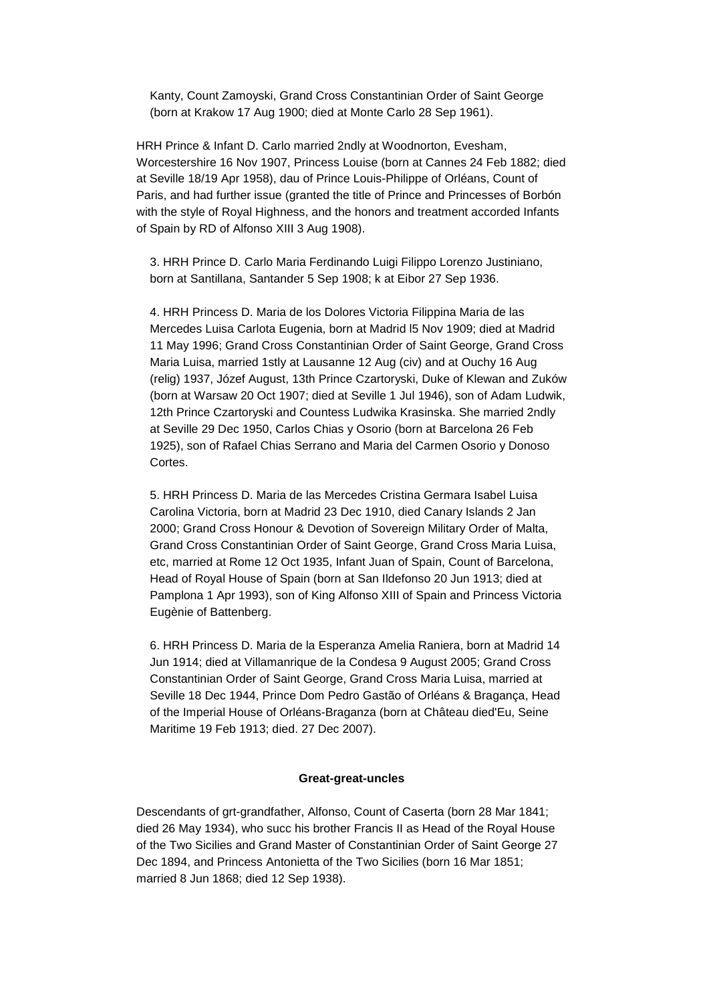Kanty, Count Zamoyski, Grand Cross Constantinian Order of Saint George (born at Krakow 17 Aug 1900; died at Monte Carlo 28 Sep 1961).

HRH Prince & Infant D. Carlo married 2ndly at Woodnorton, Evesham, Worcestershire 16 Nov 1907, Princess Louise (born at Cannes 24 Feb 1882; died at Seville 18/19 Apr 1958), dau of Prince Louis-Philippe of Orléans, Count of Paris, and had further issue (granted the title of Prince and Princesses of Borbón with the style of Royal Highness, and the honors and treatment accorded Infants of Spain by RD of Alfonso XIII 3 Aug 1908).

3. HRH Prince D. Carlo Maria Ferdinando Luigi Filippo Lorenzo Justiniano, born at Santillana, Santander 5 Sep 1908; k at Eibor 27 Sep 1936.

4. HRH Princess D. Maria de los Dolores Victoria Filippina Maria de las Mercedes Luisa Carlota Eugenia, born at Madrid l5 Nov 1909; died at Madrid 11 May 1996; Grand Cross Constantinian Order of Saint George, Grand Cross Maria Luisa, married 1stly at Lausanne 12 Aug (civ) and at Ouchy 16 Aug (relig) 1937, Józef August, 13th Prince Czartoryski, Duke of Klewan and Zuków (born at Warsaw 20 Oct 1907; died at Seville 1 Jul 1946), son of Adam Ludwik, 12th Prince Czartoryski and Countess Ludwika Krasinska. She married 2ndly at Seville 29 Dec 1950, Carlos Chias y Osorio (born at Barcelona 26 Feb 1925), son of Rafael Chias Serrano and Maria del Carmen Osorio y Donoso Cortes.

5. HRH Princess D. Maria de las Mercedes Cristina Germara Isabel Luisa Carolina Victoria, born at Madrid 23 Dec 1910, died Canary Islands 2 Jan 2000; Grand Cross Honour & Devotion of Sovereign Military Order of Malta, Grand Cross Constantinian Order of Saint George, Grand Cross Maria Luisa, etc, married at Rome 12 Oct 1935, Infant Juan of Spain, Count of Barcelona, Head of Royal House of Spain (born at San Ildefonso 20 Jun 1913; died at Pamplona 1 Apr 1993), son of King Alfonso XIII of Spain and Princess Victoria Eugènie of Battenberg.

6. HRH Princess D. Maria de la Esperanza Amelia Raniera, born at Madrid 14 Jun 1914; died at Villamanrique de la Condesa 9 August 2005; Grand Cross Constantinian Order of Saint George, Grand Cross Maria Luisa, married at Seville 18 Dec 1944, Prince Dom Pedro Gastão of Orléans & Bragança, Head of the Imperial House of Orléans-Braganza (born at Château died'Eu, Seine Maritime 19 Feb 1913; died. 27 Dec 2007).

## **Great-great-uncles**

Descendants of grt-grandfather, Alfonso, Count of Caserta (born 28 Mar 1841; died 26 May 1934), who succ his brother Francis II as Head of the Royal House of the Two Sicilies and Grand Master of Constantinian Order of Saint George 27 Dec 1894, and Princess Antonietta of the Two Sicilies (born 16 Mar 1851; married 8 Jun 1868; died 12 Sep 1938).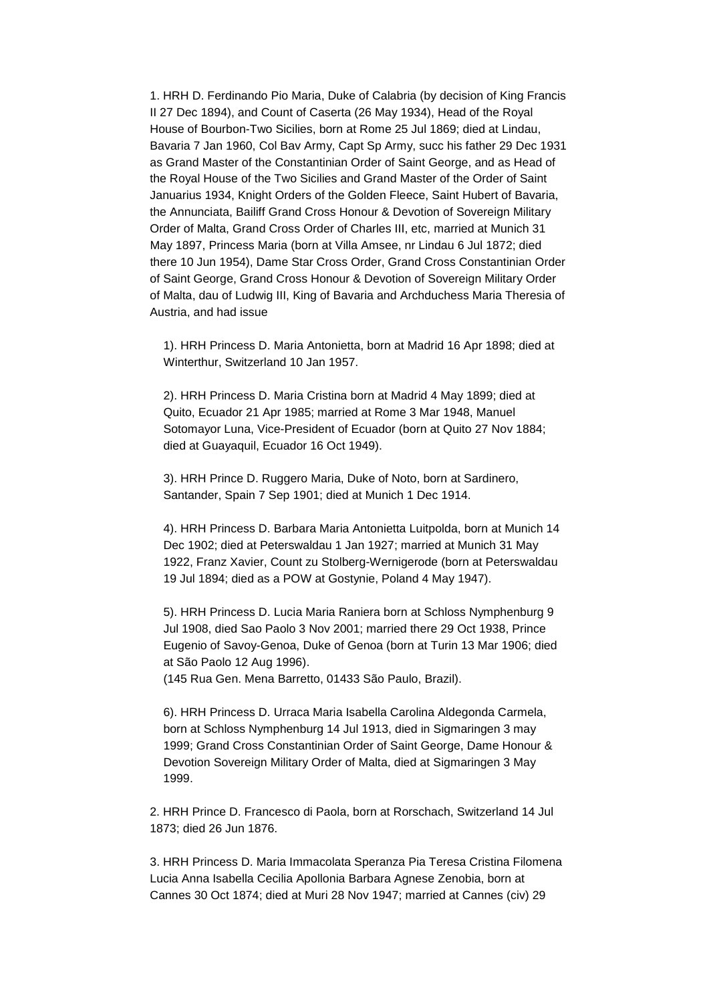1. HRH D. Ferdinando Pio Maria, Duke of Calabria (by decision of King Francis II 27 Dec 1894), and Count of Caserta (26 May 1934), Head of the Royal House of Bourbon-Two Sicilies, born at Rome 25 Jul 1869; died at Lindau, Bavaria 7 Jan 1960, Col Bav Army, Capt Sp Army, succ his father 29 Dec 1931 as Grand Master of the Constantinian Order of Saint George, and as Head of the Royal House of the Two Sicilies and Grand Master of the Order of Saint Januarius 1934, Knight Orders of the Golden Fleece, Saint Hubert of Bavaria, the Annunciata, Bailiff Grand Cross Honour & Devotion of Sovereign Military Order of Malta, Grand Cross Order of Charles III, etc, married at Munich 31 May 1897, Princess Maria (born at Villa Amsee, nr Lindau 6 Jul 1872; died there 10 Jun 1954), Dame Star Cross Order, Grand Cross Constantinian Order of Saint George, Grand Cross Honour & Devotion of Sovereign Military Order of Malta, dau of Ludwig III, King of Bavaria and Archduchess Maria Theresia of Austria, and had issue

1). HRH Princess D. Maria Antonietta, born at Madrid 16 Apr 1898; died at Winterthur, Switzerland 10 Jan 1957.

2). HRH Princess D. Maria Cristina born at Madrid 4 May 1899; died at Quito, Ecuador 21 Apr 1985; married at Rome 3 Mar 1948, Manuel Sotomayor Luna, Vice-President of Ecuador (born at Quito 27 Nov 1884; died at Guayaquil, Ecuador 16 Oct 1949).

3). HRH Prince D. Ruggero Maria, Duke of Noto, born at Sardinero, Santander, Spain 7 Sep 1901; died at Munich 1 Dec 1914.

4). HRH Princess D. Barbara Maria Antonietta Luitpolda, born at Munich 14 Dec 1902; died at Peterswaldau 1 Jan 1927; married at Munich 31 May 1922, Franz Xavier, Count zu Stolberg-Wernigerode (born at Peterswaldau 19 Jul 1894; died as a POW at Gostynie, Poland 4 May 1947).

5). HRH Princess D. Lucia Maria Raniera born at Schloss Nymphenburg 9 Jul 1908, died Sao Paolo 3 Nov 2001; married there 29 Oct 1938, Prince Eugenio of Savoy-Genoa, Duke of Genoa (born at Turin 13 Mar 1906; died at São Paolo 12 Aug 1996).

(145 Rua Gen. Mena Barretto, 01433 São Paulo, Brazil).

6). HRH Princess D. Urraca Maria Isabella Carolina Aldegonda Carmela, born at Schloss Nymphenburg 14 Jul 1913, died in Sigmaringen 3 may 1999; Grand Cross Constantinian Order of Saint George, Dame Honour & Devotion Sovereign Military Order of Malta, died at Sigmaringen 3 May 1999.

2. HRH Prince D. Francesco di Paola, born at Rorschach, Switzerland 14 Jul 1873; died 26 Jun 1876.

3. HRH Princess D. Maria Immacolata Speranza Pia Teresa Cristina Filomena Lucia Anna Isabella Cecilia Apollonia Barbara Agnese Zenobia, born at Cannes 30 Oct 1874; died at Muri 28 Nov 1947; married at Cannes (civ) 29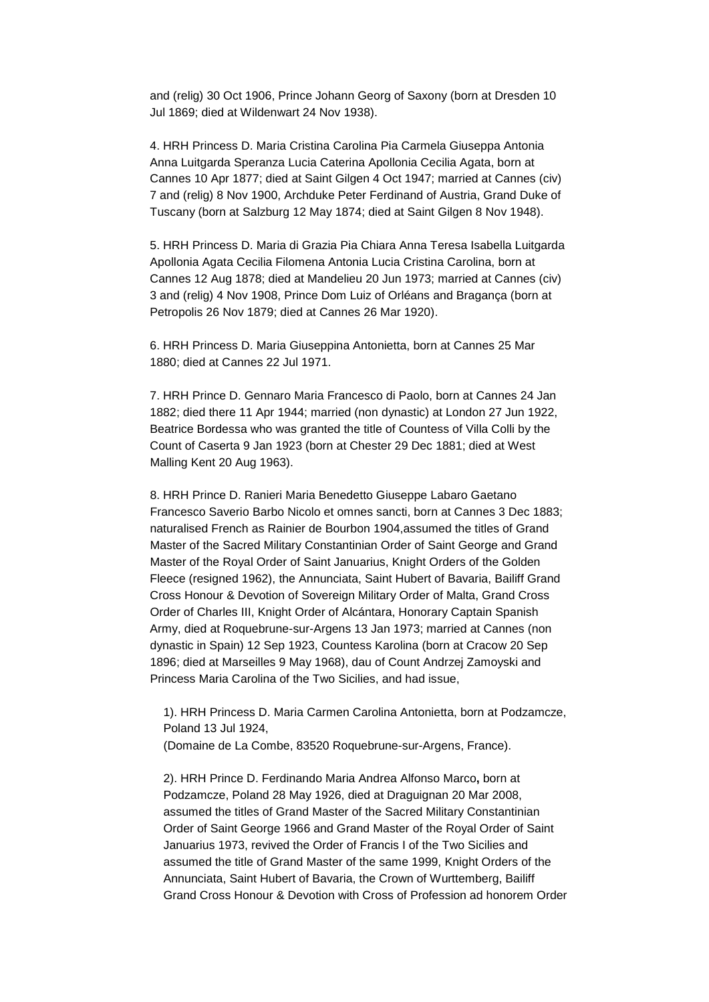and (relig) 30 Oct 1906, Prince Johann Georg of Saxony (born at Dresden 10 Jul 1869; died at Wildenwart 24 Nov 1938).

4. HRH Princess D. Maria Cristina Carolina Pia Carmela Giuseppa Antonia Anna Luitgarda Speranza Lucia Caterina Apollonia Cecilia Agata, born at Cannes 10 Apr 1877; died at Saint Gilgen 4 Oct 1947; married at Cannes (civ) 7 and (relig) 8 Nov 1900, Archduke Peter Ferdinand of Austria, Grand Duke of Tuscany (born at Salzburg 12 May 1874; died at Saint Gilgen 8 Nov 1948).

5. HRH Princess D. Maria di Grazia Pia Chiara Anna Teresa Isabella Luitgarda Apollonia Agata Cecilia Filomena Antonia Lucia Cristina Carolina, born at Cannes 12 Aug 1878; died at Mandelieu 20 Jun 1973; married at Cannes (civ) 3 and (relig) 4 Nov 1908, Prince Dom Luiz of Orléans and Bragança (born at Petropolis 26 Nov 1879; died at Cannes 26 Mar 1920).

6. HRH Princess D. Maria Giuseppina Antonietta, born at Cannes 25 Mar 1880; died at Cannes 22 Jul 1971.

7. HRH Prince D. Gennaro Maria Francesco di Paolo, born at Cannes 24 Jan 1882; died there 11 Apr 1944; married (non dynastic) at London 27 Jun 1922, Beatrice Bordessa who was granted the title of Countess of Villa Colli by the Count of Caserta 9 Jan 1923 (born at Chester 29 Dec 1881; died at West Malling Kent 20 Aug 1963).

8. HRH Prince D. Ranieri Maria Benedetto Giuseppe Labaro Gaetano Francesco Saverio Barbo Nicolo et omnes sancti, born at Cannes 3 Dec 1883; naturalised French as Rainier de Bourbon 1904,assumed the titles of Grand Master of the Sacred Military Constantinian Order of Saint George and Grand Master of the Royal Order of Saint Januarius, Knight Orders of the Golden Fleece (resigned 1962), the Annunciata, Saint Hubert of Bavaria, Bailiff Grand Cross Honour & Devotion of Sovereign Military Order of Malta, Grand Cross Order of Charles III, Knight Order of Alcántara, Honorary Captain Spanish Army, died at Roquebrune-sur-Argens 13 Jan 1973; married at Cannes (non dynastic in Spain) 12 Sep 1923, Countess Karolina (born at Cracow 20 Sep 1896; died at Marseilles 9 May 1968), dau of Count Andrzej Zamoyski and Princess Maria Carolina of the Two Sicilies, and had issue,

1). HRH Princess D. Maria Carmen Carolina Antonietta, born at Podzamcze, Poland 13 Jul 1924,

(Domaine de La Combe, 83520 Roquebrune-sur-Argens, France).

2). HRH Prince D. Ferdinando Maria Andrea Alfonso Marco**,** born at Podzamcze, Poland 28 May 1926, died at Draguignan 20 Mar 2008, assumed the titles of Grand Master of the Sacred Military Constantinian Order of Saint George 1966 and Grand Master of the Royal Order of Saint Januarius 1973, revived the Order of Francis I of the Two Sicilies and assumed the title of Grand Master of the same 1999, Knight Orders of the Annunciata, Saint Hubert of Bavaria, the Crown of Wurttemberg, Bailiff Grand Cross Honour & Devotion with Cross of Profession ad honorem Order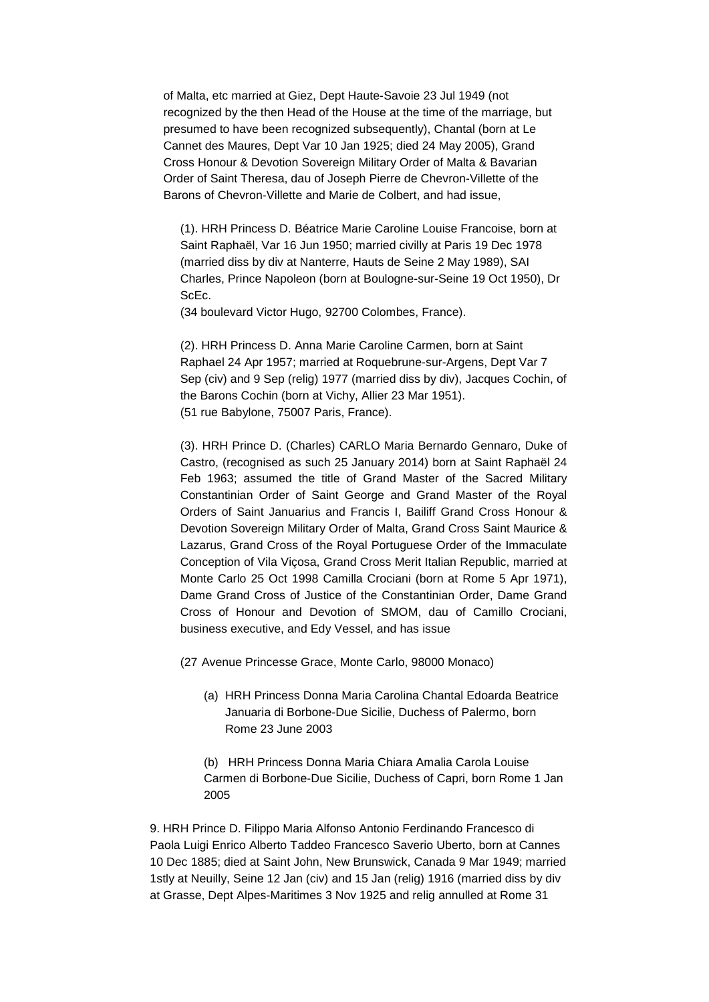of Malta, etc married at Giez, Dept Haute-Savoie 23 Jul 1949 (not recognized by the then Head of the House at the time of the marriage, but presumed to have been recognized subsequently), Chantal (born at Le Cannet des Maures, Dept Var 10 Jan 1925; died 24 May 2005), Grand Cross Honour & Devotion Sovereign Military Order of Malta & Bavarian Order of Saint Theresa, dau of Joseph Pierre de Chevron-Villette of the Barons of Chevron-Villette and Marie de Colbert, and had issue,

(1). HRH Princess D. Béatrice Marie Caroline Louise Francoise, born at Saint Raphaël, Var 16 Jun 1950; married civilly at Paris 19 Dec 1978 (married diss by div at Nanterre, Hauts de Seine 2 May 1989), SAI Charles, Prince Napoleon (born at Boulogne-sur-Seine 19 Oct 1950), Dr ScEc.

(34 boulevard Victor Hugo, 92700 Colombes, France).

(2). HRH Princess D. Anna Marie Caroline Carmen, born at Saint Raphael 24 Apr 1957; married at Roquebrune-sur-Argens, Dept Var 7 Sep (civ) and 9 Sep (relig) 1977 (married diss by div), Jacques Cochin, of the Barons Cochin (born at Vichy, Allier 23 Mar 1951). (51 rue Babylone, 75007 Paris, France).

(3). HRH Prince D. (Charles) CARLO Maria Bernardo Gennaro, Duke of Castro, (recognised as such 25 January 2014) born at Saint Raphaël 24 Feb 1963; assumed the title of Grand Master of the Sacred Military Constantinian Order of Saint George and Grand Master of the Royal Orders of Saint Januarius and Francis I, Bailiff Grand Cross Honour & Devotion Sovereign Military Order of Malta, Grand Cross Saint Maurice & Lazarus, Grand Cross of the Royal Portuguese Order of the Immaculate Conception of Vila Viçosa, Grand Cross Merit Italian Republic, married at Monte Carlo 25 Oct 1998 Camilla Crociani (born at Rome 5 Apr 1971), Dame Grand Cross of Justice of the Constantinian Order, Dame Grand Cross of Honour and Devotion of SMOM, dau of Camillo Crociani, business executive, and Edy Vessel, and has issue

(27 Avenue Princesse Grace, Monte Carlo, 98000 Monaco)

(a) HRH Princess Donna Maria Carolina Chantal Edoarda Beatrice Januaria di Borbone-Due Sicilie, Duchess of Palermo, born Rome 23 June 2003

(b) HRH Princess Donna Maria Chiara Amalia Carola Louise Carmen di Borbone-Due Sicilie, Duchess of Capri, born Rome 1 Jan 2005

9. HRH Prince D. Filippo Maria Alfonso Antonio Ferdinando Francesco di Paola Luigi Enrico Alberto Taddeo Francesco Saverio Uberto, born at Cannes 10 Dec 1885; died at Saint John, New Brunswick, Canada 9 Mar 1949; married 1stly at Neuilly, Seine 12 Jan (civ) and 15 Jan (relig) 1916 (married diss by div at Grasse, Dept Alpes-Maritimes 3 Nov 1925 and relig annulled at Rome 31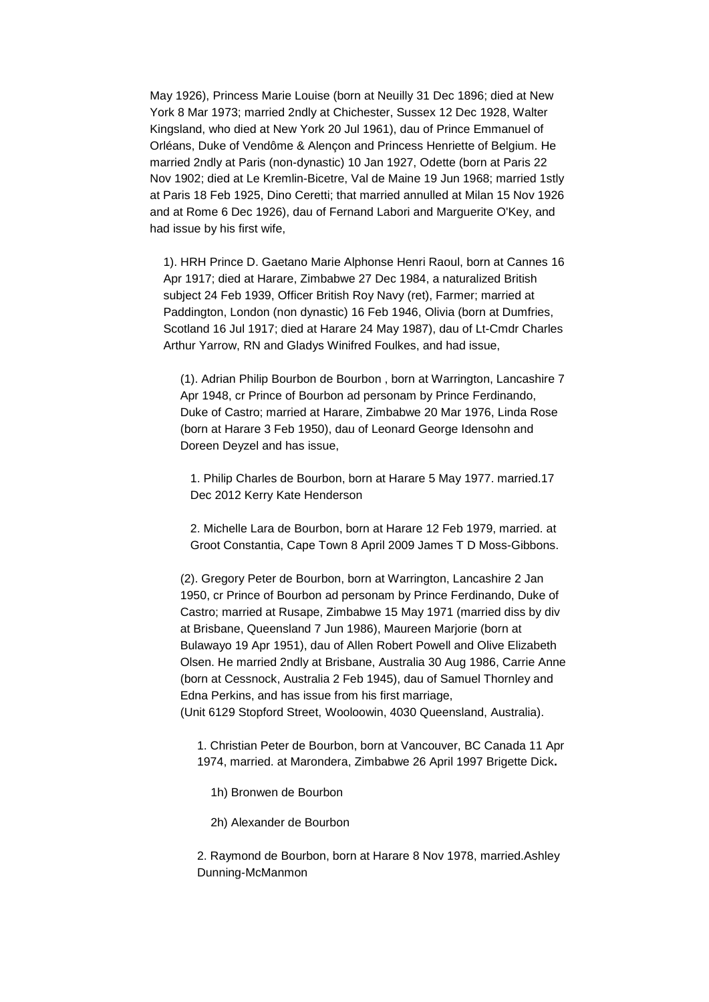May 1926), Princess Marie Louise (born at Neuilly 31 Dec 1896; died at New York 8 Mar 1973; married 2ndly at Chichester, Sussex 12 Dec 1928, Walter Kingsland, who died at New York 20 Jul 1961), dau of Prince Emmanuel of Orléans, Duke of Vendôme & Alençon and Princess Henriette of Belgium. He married 2ndly at Paris (non-dynastic) 10 Jan 1927, Odette (born at Paris 22 Nov 1902; died at Le Kremlin-Bicetre, Val de Maine 19 Jun 1968; married 1stly at Paris 18 Feb 1925, Dino Ceretti; that married annulled at Milan 15 Nov 1926 and at Rome 6 Dec 1926), dau of Fernand Labori and Marguerite O'Key, and had issue by his first wife,

1). HRH Prince D. Gaetano Marie Alphonse Henri Raoul, born at Cannes 16 Apr 1917; died at Harare, Zimbabwe 27 Dec 1984, a naturalized British subject 24 Feb 1939, Officer British Roy Navy (ret), Farmer; married at Paddington, London (non dynastic) 16 Feb 1946, Olivia (born at Dumfries, Scotland 16 Jul 1917; died at Harare 24 May 1987), dau of Lt-Cmdr Charles Arthur Yarrow, RN and Gladys Winifred Foulkes, and had issue,

(1). Adrian Philip Bourbon de Bourbon , born at Warrington, Lancashire 7 Apr 1948, cr Prince of Bourbon ad personam by Prince Ferdinando, Duke of Castro; married at Harare, Zimbabwe 20 Mar 1976, Linda Rose (born at Harare 3 Feb 1950), dau of Leonard George Idensohn and Doreen Deyzel and has issue,

1. Philip Charles de Bourbon, born at Harare 5 May 1977. married.17 Dec 2012 Kerry Kate Henderson

2. Michelle Lara de Bourbon, born at Harare 12 Feb 1979, married. at Groot Constantia, Cape Town 8 April 2009 James T D Moss-Gibbons.

(2). Gregory Peter de Bourbon, born at Warrington, Lancashire 2 Jan 1950, cr Prince of Bourbon ad personam by Prince Ferdinando, Duke of Castro; married at Rusape, Zimbabwe 15 May 1971 (married diss by div at Brisbane, Queensland 7 Jun 1986), Maureen Marjorie (born at Bulawayo 19 Apr 1951), dau of Allen Robert Powell and Olive Elizabeth Olsen. He married 2ndly at Brisbane, Australia 30 Aug 1986, Carrie Anne (born at Cessnock, Australia 2 Feb 1945), dau of Samuel Thornley and Edna Perkins, and has issue from his first marriage, (Unit 6129 Stopford Street, Wooloowin, 4030 Queensland, Australia).

1. Christian Peter de Bourbon, born at Vancouver, BC Canada 11 Apr 1974, married. at Marondera, Zimbabwe 26 April 1997 Brigette Dick**.**

- 1h) Bronwen de Bourbon
- 2h) Alexander de Bourbon

2. Raymond de Bourbon, born at Harare 8 Nov 1978, married.Ashley Dunning-McManmon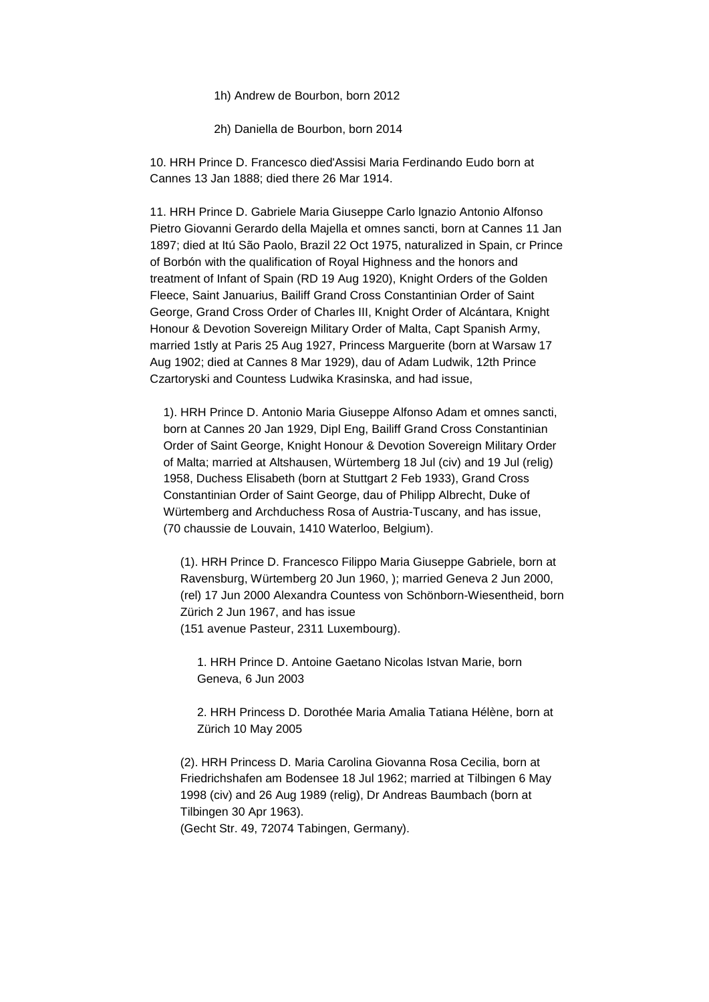1h) Andrew de Bourbon, born 2012

2h) Daniella de Bourbon, born 2014

10. HRH Prince D. Francesco died'Assisi Maria Ferdinando Eudo born at Cannes 13 Jan 1888; died there 26 Mar 1914.

11. HRH Prince D. Gabriele Maria Giuseppe Carlo lgnazio Antonio Alfonso Pietro Giovanni Gerardo della Majella et omnes sancti, born at Cannes 11 Jan 1897; died at Itú São Paolo, Brazil 22 Oct 1975, naturalized in Spain, cr Prince of Borbón with the qualification of Royal Highness and the honors and treatment of Infant of Spain (RD 19 Aug 1920), Knight Orders of the Golden Fleece, Saint Januarius, Bailiff Grand Cross Constantinian Order of Saint George, Grand Cross Order of Charles III, Knight Order of Alcántara, Knight Honour & Devotion Sovereign Military Order of Malta, Capt Spanish Army, married 1stly at Paris 25 Aug 1927, Princess Marguerite (born at Warsaw 17 Aug 1902; died at Cannes 8 Mar 1929), dau of Adam Ludwik, 12th Prince Czartoryski and Countess Ludwika Krasinska, and had issue,

1). HRH Prince D. Antonio Maria Giuseppe Alfonso Adam et omnes sancti, born at Cannes 20 Jan 1929, Dipl Eng, Bailiff Grand Cross Constantinian Order of Saint George, Knight Honour & Devotion Sovereign Military Order of Malta; married at Altshausen, Würtemberg 18 Jul (civ) and 19 Jul (relig) 1958, Duchess Elisabeth (born at Stuttgart 2 Feb 1933), Grand Cross Constantinian Order of Saint George, dau of Philipp Albrecht, Duke of Würtemberg and Archduchess Rosa of Austria-Tuscany, and has issue, (70 chaussie de Louvain, 1410 Waterloo, Belgium).

(1). HRH Prince D. Francesco Filippo Maria Giuseppe Gabriele, born at Ravensburg, Würtemberg 20 Jun 1960, ); married Geneva 2 Jun 2000, (rel) 17 Jun 2000 Alexandra Countess von Schönborn-Wiesentheid, born Zürich 2 Jun 1967, and has issue (151 avenue Pasteur, 2311 Luxembourg).

1. HRH Prince D. Antoine Gaetano Nicolas Istvan Marie, born Geneva, 6 Jun 2003

2. HRH Princess D. Dorothée Maria Amalia Tatiana Hélène, born at Zürich 10 May 2005

(2). HRH Princess D. Maria Carolina Giovanna Rosa Cecilia, born at Friedrichshafen am Bodensee 18 Jul 1962; married at Tilbingen 6 May 1998 (civ) and 26 Aug 1989 (relig), Dr Andreas Baumbach (born at Tilbingen 30 Apr 1963). (Gecht Str. 49, 72074 Tabingen, Germany).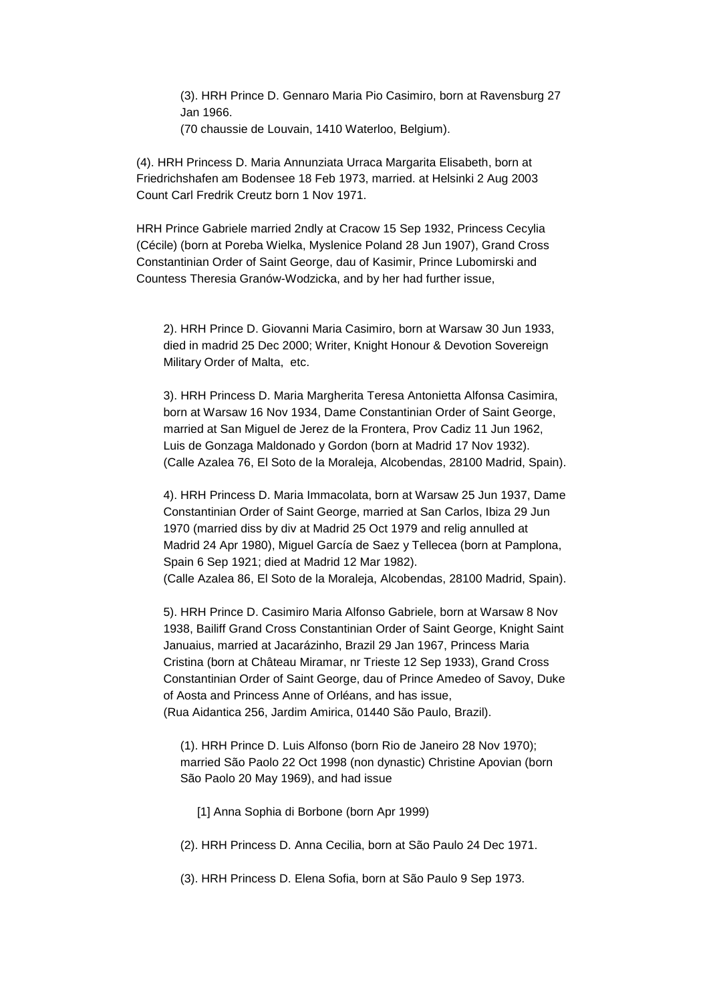(3). HRH Prince D. Gennaro Maria Pio Casimiro, born at Ravensburg 27 Jan 1966.

(70 chaussie de Louvain, 1410 Waterloo, Belgium).

(4). HRH Princess D. Maria Annunziata Urraca Margarita Elisabeth, born at Friedrichshafen am Bodensee 18 Feb 1973, married. at Helsinki 2 Aug 2003 Count Carl Fredrik Creutz born 1 Nov 1971.

HRH Prince Gabriele married 2ndly at Cracow 15 Sep 1932, Princess Cecylia (Cécile) (born at Poreba Wielka, Myslenice Poland 28 Jun 1907), Grand Cross Constantinian Order of Saint George, dau of Kasimir, Prince Lubomirski and Countess Theresia Granów-Wodzicka, and by her had further issue,

2). HRH Prince D. Giovanni Maria Casimiro, born at Warsaw 30 Jun 1933, died in madrid 25 Dec 2000; Writer, Knight Honour & Devotion Sovereign Military Order of Malta, etc.

3). HRH Princess D. Maria Margherita Teresa Antonietta Alfonsa Casimira, born at Warsaw 16 Nov 1934, Dame Constantinian Order of Saint George, married at San Miguel de Jerez de la Frontera, Prov Cadiz 11 Jun 1962, Luis de Gonzaga Maldonado y Gordon (born at Madrid 17 Nov 1932). (Calle Azalea 76, El Soto de la Moraleja, Alcobendas, 28100 Madrid, Spain).

4). HRH Princess D. Maria Immacolata, born at Warsaw 25 Jun 1937, Dame Constantinian Order of Saint George, married at San Carlos, Ibiza 29 Jun 1970 (married diss by div at Madrid 25 Oct 1979 and relig annulled at Madrid 24 Apr 1980), Miguel García de Saez y Tellecea (born at Pamplona, Spain 6 Sep 1921; died at Madrid 12 Mar 1982). (Calle Azalea 86, El Soto de la Moraleja, Alcobendas, 28100 Madrid, Spain).

5). HRH Prince D. Casimiro Maria Alfonso Gabriele, born at Warsaw 8 Nov 1938, Bailiff Grand Cross Constantinian Order of Saint George, Knight Saint Januaius, married at Jacarázinho, Brazil 29 Jan 1967, Princess Maria Cristina (born at Château Miramar, nr Trieste 12 Sep 1933), Grand Cross Constantinian Order of Saint George, dau of Prince Amedeo of Savoy, Duke of Aosta and Princess Anne of Orléans, and has issue, (Rua Aidantica 256, Jardim Amirica, 01440 São Paulo, Brazil).

(1). HRH Prince D. Luis Alfonso (born Rio de Janeiro 28 Nov 1970); married São Paolo 22 Oct 1998 (non dynastic) Christine Apovian (born São Paolo 20 May 1969), and had issue

[1] Anna Sophia di Borbone (born Apr 1999)

(2). HRH Princess D. Anna Cecilia, born at São Paulo 24 Dec 1971.

(3). HRH Princess D. Elena Sofia, born at São Paulo 9 Sep 1973.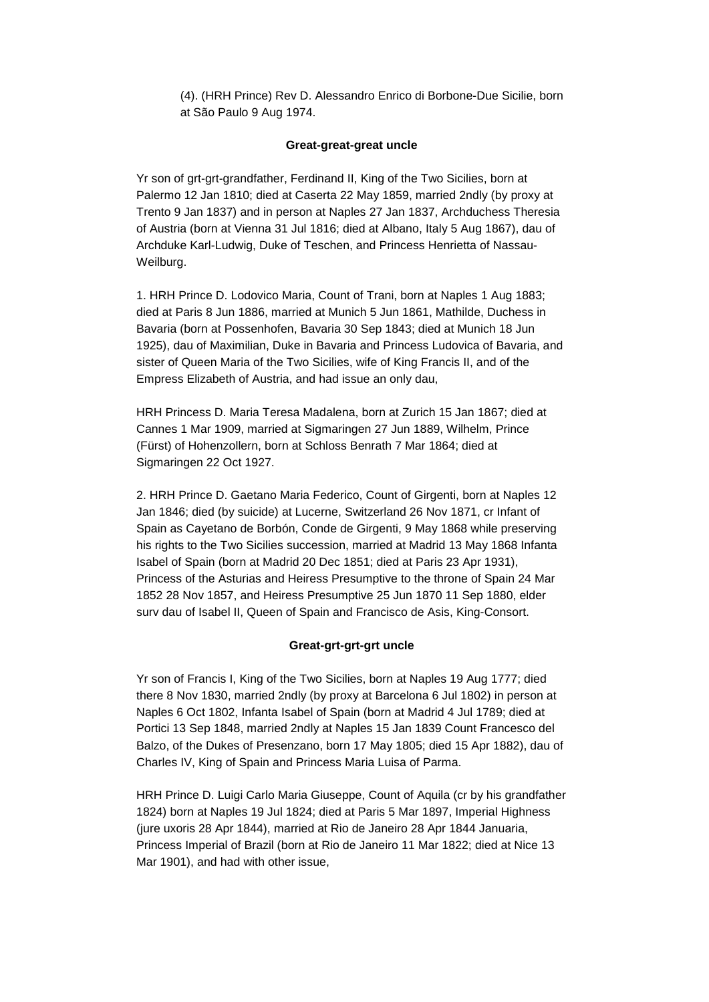(4). (HRH Prince) Rev D. Alessandro Enrico di Borbone-Due Sicilie, born at São Paulo 9 Aug 1974.

## **Great-great-great uncle**

Yr son of grt-grt-grandfather, Ferdinand II, King of the Two Sicilies, born at Palermo 12 Jan 1810; died at Caserta 22 May 1859, married 2ndly (by proxy at Trento 9 Jan 1837) and in person at Naples 27 Jan 1837, Archduchess Theresia of Austria (born at Vienna 31 Jul 1816; died at Albano, Italy 5 Aug 1867), dau of Archduke Karl-Ludwig, Duke of Teschen, and Princess Henrietta of Nassau-Weilburg.

1. HRH Prince D. Lodovico Maria, Count of Trani, born at Naples 1 Aug 1883; died at Paris 8 Jun 1886, married at Munich 5 Jun 1861, Mathilde, Duchess in Bavaria (born at Possenhofen, Bavaria 30 Sep 1843; died at Munich 18 Jun 1925), dau of Maximilian, Duke in Bavaria and Princess Ludovica of Bavaria, and sister of Queen Maria of the Two Sicilies, wife of King Francis II, and of the Empress Elizabeth of Austria, and had issue an only dau,

HRH Princess D. Maria Teresa Madalena, born at Zurich 15 Jan 1867; died at Cannes 1 Mar 1909, married at Sigmaringen 27 Jun 1889, Wilhelm, Prince (Fürst) of Hohenzollern, born at Schloss Benrath 7 Mar 1864; died at Sigmaringen 22 Oct 1927.

2. HRH Prince D. Gaetano Maria Federico, Count of Girgenti, born at Naples 12 Jan 1846; died (by suicide) at Lucerne, Switzerland 26 Nov 1871, cr Infant of Spain as Cayetano de Borbón, Conde de Girgenti, 9 May 1868 while preserving his rights to the Two Sicilies succession, married at Madrid 13 May 1868 Infanta Isabel of Spain (born at Madrid 20 Dec 1851; died at Paris 23 Apr 1931), Princess of the Asturias and Heiress Presumptive to the throne of Spain 24 Mar 1852 28 Nov 1857, and Heiress Presumptive 25 Jun 1870 11 Sep 1880, elder surv dau of Isabel II, Queen of Spain and Francisco de Asis, King-Consort.

# **Great-grt-grt-grt uncle**

Yr son of Francis I, King of the Two Sicilies, born at Naples 19 Aug 1777; died there 8 Nov 1830, married 2ndly (by proxy at Barcelona 6 Jul 1802) in person at Naples 6 Oct 1802, Infanta Isabel of Spain (born at Madrid 4 Jul 1789; died at Portici 13 Sep 1848, married 2ndly at Naples 15 Jan 1839 Count Francesco del Balzo, of the Dukes of Presenzano, born 17 May 1805; died 15 Apr 1882), dau of Charles IV, King of Spain and Princess Maria Luisa of Parma.

HRH Prince D. Luigi Carlo Maria Giuseppe, Count of Aquila (cr by his grandfather 1824) born at Naples 19 Jul 1824; died at Paris 5 Mar 1897, Imperial Highness (jure uxoris 28 Apr 1844), married at Rio de Janeiro 28 Apr 1844 Januaria, Princess Imperial of Brazil (born at Rio de Janeiro 11 Mar 1822; died at Nice 13 Mar 1901), and had with other issue,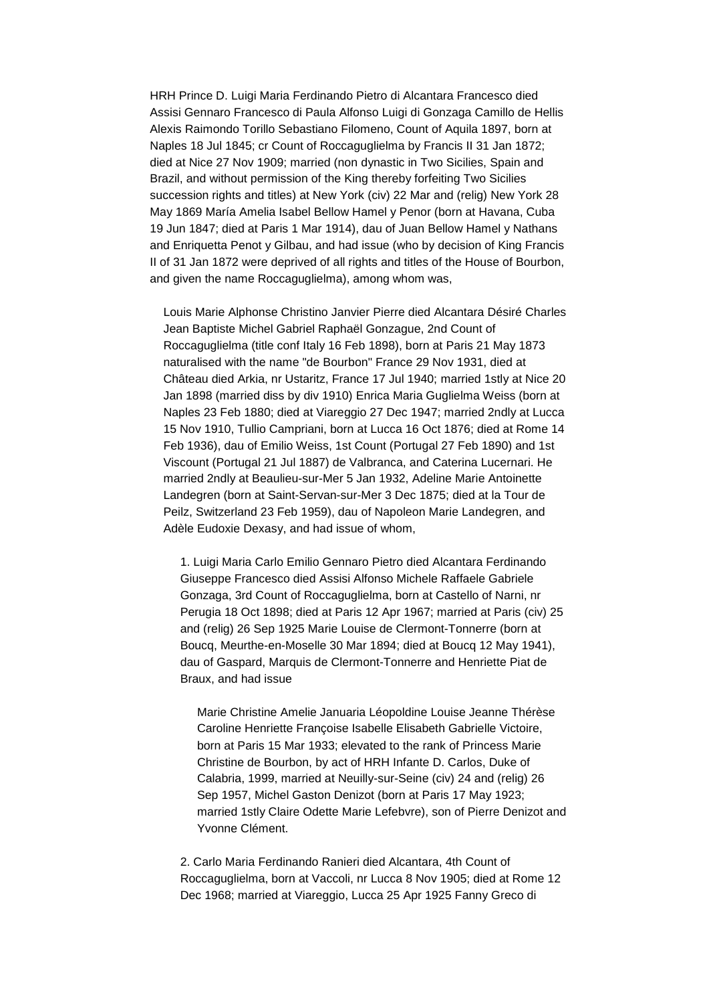HRH Prince D. Luigi Maria Ferdinando Pietro di Alcantara Francesco died Assisi Gennaro Francesco di Paula Alfonso Luigi di Gonzaga Camillo de Hellis Alexis Raimondo Torillo Sebastiano Filomeno, Count of Aquila 1897, born at Naples 18 Jul 1845; cr Count of Roccaguglielma by Francis II 31 Jan 1872; died at Nice 27 Nov 1909; married (non dynastic in Two Sicilies, Spain and Brazil, and without permission of the King thereby forfeiting Two Sicilies succession rights and titles) at New York (civ) 22 Mar and (relig) New York 28 May 1869 María Amelia Isabel Bellow Hamel y Penor (born at Havana, Cuba 19 Jun 1847; died at Paris 1 Mar 1914), dau of Juan Bellow Hamel y Nathans and Enriquetta Penot y Gilbau, and had issue (who by decision of King Francis II of 31 Jan 1872 were deprived of all rights and titles of the House of Bourbon, and given the name Roccaguglielma), among whom was,

Louis Marie Alphonse Christino Janvier Pierre died Alcantara Désiré Charles Jean Baptiste Michel Gabriel Raphaël Gonzague, 2nd Count of Roccaguglielma (title conf Italy 16 Feb 1898), born at Paris 21 May 1873 naturalised with the name "de Bourbon" France 29 Nov 1931, died at Château died Arkia, nr Ustaritz, France 17 Jul 1940; married 1stly at Nice 20 Jan 1898 (married diss by div 1910) Enrica Maria Guglielma Weiss (born at Naples 23 Feb 1880; died at Viareggio 27 Dec 1947; married 2ndly at Lucca 15 Nov 1910, Tullio Campriani, born at Lucca 16 Oct 1876; died at Rome 14 Feb 1936), dau of Emilio Weiss, 1st Count (Portugal 27 Feb 1890) and 1st Viscount (Portugal 21 Jul 1887) de Valbranca, and Caterina Lucernari. He married 2ndly at Beaulieu-sur-Mer 5 Jan 1932, Adeline Marie Antoinette Landegren (born at Saint-Servan-sur-Mer 3 Dec 1875; died at la Tour de Peilz, Switzerland 23 Feb 1959), dau of Napoleon Marie Landegren, and Adèle Eudoxie Dexasy, and had issue of whom,

1. Luigi Maria Carlo Emilio Gennaro Pietro died Alcantara Ferdinando Giuseppe Francesco died Assisi Alfonso Michele Raffaele Gabriele Gonzaga, 3rd Count of Roccaguglielma, born at Castello of Narni, nr Perugia 18 Oct 1898; died at Paris 12 Apr 1967; married at Paris (civ) 25 and (relig) 26 Sep 1925 Marie Louise de Clermont-Tonnerre (born at Boucq, Meurthe-en-Moselle 30 Mar 1894; died at Boucq 12 May 1941), dau of Gaspard, Marquis de Clermont-Tonnerre and Henriette Piat de Braux, and had issue

Marie Christine Amelie Januaria Léopoldine Louise Jeanne Thérèse Caroline Henriette Françoise Isabelle Elisabeth Gabrielle Victoire, born at Paris 15 Mar 1933; elevated to the rank of Princess Marie Christine de Bourbon, by act of HRH Infante D. Carlos, Duke of Calabria, 1999, married at Neuilly-sur-Seine (civ) 24 and (relig) 26 Sep 1957, Michel Gaston Denizot (born at Paris 17 May 1923; married 1stly Claire Odette Marie Lefebvre), son of Pierre Denizot and Yvonne Clément.

2. Carlo Maria Ferdinando Ranieri died Alcantara, 4th Count of Roccaguglielma, born at Vaccoli, nr Lucca 8 Nov 1905; died at Rome 12 Dec 1968; married at Viareggio, Lucca 25 Apr 1925 Fanny Greco di